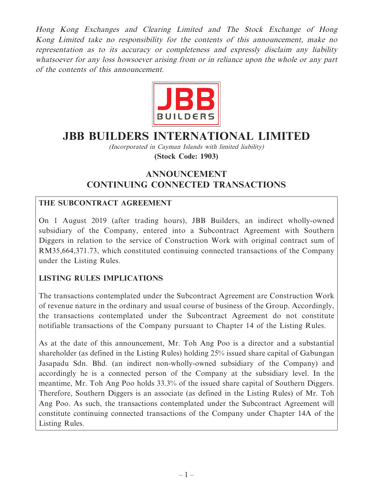Hong Kong Exchanges and Clearing Limited and The Stock Exchange of Hong Kong Limited take no responsibility for the contents of this announcement, make no representation as to its accuracy or completeness and expressly disclaim any liability whatsoever for any loss howsoever arising from or in reliance upon the whole or any part of the contents of this announcement.



# **JBB BUILDERS INTERNATIONAL LIMITED**

(Incorporated in Cayman Islands with limited liability)

**(Stock Code: 1903)**

## **ANNOUNCEMENT CONTINUING CONNECTED TRANSACTIONS**

## **THE SUBCONTRACT AGREEMENT**

On 1 August 2019 (after trading hours), JBB Builders, an indirect wholly-owned subsidiary of the Company, entered into a Subcontract Agreement with Southern Diggers in relation to the service of Construction Work with original contract sum of RM35,664,371.73, which constituted continuing connected transactions of the Company under the Listing Rules.

#### **LISTING RULES IMPLICATIONS**

The transactions contemplated under the Subcontract Agreement are Construction Work of revenue nature in the ordinary and usual course of business of the Group. Accordingly, the transactions contemplated under the Subcontract Agreement do not constitute notifiable transactions of the Company pursuant to Chapter 14 of the Listing Rules.

As at the date of this announcement, Mr. Toh Ang Poo is a director and a substantial shareholder (as defined in the Listing Rules) holding 25% issued share capital of Gabungan Jasapadu Sdn. Bhd. (an indirect non-wholly-owned subsidiary of the Company) and accordingly he is a connected person of the Company at the subsidiary level. In the meantime, Mr. Toh Ang Poo holds 33.3% of the issued share capital of Southern Diggers. Therefore, Southern Diggers is an associate (as defined in the Listing Rules) of Mr. Toh Ang Poo. As such, the transactions contemplated under the Subcontract Agreement will constitute continuing connected transactions of the Company under Chapter 14A of the Listing Rules.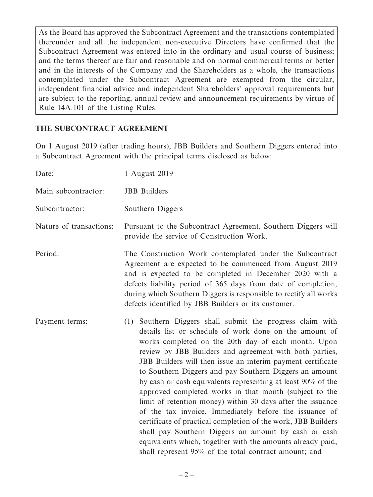As the Board has approved the Subcontract Agreement and the transactions contemplated thereunder and all the independent non-executive Directors have confirmed that the Subcontract Agreement was entered into in the ordinary and usual course of business; and the terms thereof are fair and reasonable and on normal commercial terms or better and in the interests of the Company and the Shareholders as a whole, the transactions contemplated under the Subcontract Agreement are exempted from the circular, independent financial advice and independent Shareholders' approval requirements but are subject to the reporting, annual review and announcement requirements by virtue of Rule 14A.101 of the Listing Rules.

#### **THE SUBCONTRACT AGREEMENT**

On 1 August 2019 (after trading hours), JBB Builders and Southern Diggers entered into a Subcontract Agreement with the principal terms disclosed as below:

| Date:                   | 1 August 2019                                                                                                                                                                                                                                                                                                                                                                                                                                                                                                                                                                                                                                                                                                                                                                                                                                                     |
|-------------------------|-------------------------------------------------------------------------------------------------------------------------------------------------------------------------------------------------------------------------------------------------------------------------------------------------------------------------------------------------------------------------------------------------------------------------------------------------------------------------------------------------------------------------------------------------------------------------------------------------------------------------------------------------------------------------------------------------------------------------------------------------------------------------------------------------------------------------------------------------------------------|
| Main subcontractor:     | <b>JBB</b> Builders                                                                                                                                                                                                                                                                                                                                                                                                                                                                                                                                                                                                                                                                                                                                                                                                                                               |
| Subcontractor:          | Southern Diggers                                                                                                                                                                                                                                                                                                                                                                                                                                                                                                                                                                                                                                                                                                                                                                                                                                                  |
| Nature of transactions: | Pursuant to the Subcontract Agreement, Southern Diggers will<br>provide the service of Construction Work.                                                                                                                                                                                                                                                                                                                                                                                                                                                                                                                                                                                                                                                                                                                                                         |
| Period:                 | The Construction Work contemplated under the Subcontract<br>Agreement are expected to be commenced from August 2019<br>and is expected to be completed in December 2020 with a<br>defects liability period of 365 days from date of completion,<br>during which Southern Diggers is responsible to rectify all works<br>defects identified by JBB Builders or its customer.                                                                                                                                                                                                                                                                                                                                                                                                                                                                                       |
| Payment terms:          | (1) Southern Diggers shall submit the progress claim with<br>details list or schedule of work done on the amount of<br>works completed on the 20th day of each month. Upon<br>review by JBB Builders and agreement with both parties,<br>JBB Builders will then issue an interim payment certificate<br>to Southern Diggers and pay Southern Diggers an amount<br>by cash or cash equivalents representing at least 90% of the<br>approved completed works in that month (subject to the<br>limit of retention money) within 30 days after the issuance<br>of the tax invoice. Immediately before the issuance of<br>certificate of practical completion of the work, JBB Builders<br>shall pay Southern Diggers an amount by cash or cash<br>equivalents which, together with the amounts already paid,<br>shall represent 95% of the total contract amount; and |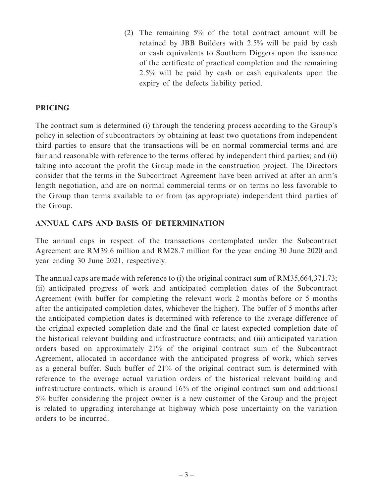(2) The remaining 5% of the total contract amount will be retained by JBB Builders with 2.5% will be paid by cash or cash equivalents to Southern Diggers upon the issuance of the certificate of practical completion and the remaining 2.5% will be paid by cash or cash equivalents upon the expiry of the defects liability period.

#### **PRICING**

The contract sum is determined (i) through the tendering process according to the Group's policy in selection of subcontractors by obtaining at least two quotations from independent third parties to ensure that the transactions will be on normal commercial terms and are fair and reasonable with reference to the terms offered by independent third parties; and (ii) taking into account the profit the Group made in the construction project. The Directors consider that the terms in the Subcontract Agreement have been arrived at after an arm's length negotiation, and are on normal commercial terms or on terms no less favorable to the Group than terms available to or from (as appropriate) independent third parties of the Group.

#### **ANNUAL CAPS AND BASIS OF DETERMINATION**

The annual caps in respect of the transactions contemplated under the Subcontract Agreement are RM39.6 million and RM28.7 million for the year ending 30 June 2020 and year ending 30 June 2021, respectively.

The annual caps are made with reference to (i) the original contract sum of RM35,664,371.73; (ii) anticipated progress of work and anticipated completion dates of the Subcontract Agreement (with buffer for completing the relevant work 2 months before or 5 months after the anticipated completion dates, whichever the higher). The buffer of 5 months after the anticipated completion dates is determined with reference to the average difference of the original expected completion date and the final or latest expected completion date of the historical relevant building and infrastructure contracts; and (iii) anticipated variation orders based on approximately 21% of the original contract sum of the Subcontract Agreement, allocated in accordance with the anticipated progress of work, which serves as a general buffer. Such buffer of 21% of the original contract sum is determined with reference to the average actual variation orders of the historical relevant building and infrastructure contracts, which is around 16% of the original contract sum and additional 5% buffer considering the project owner is a new customer of the Group and the project is related to upgrading interchange at highway which pose uncertainty on the variation orders to be incurred.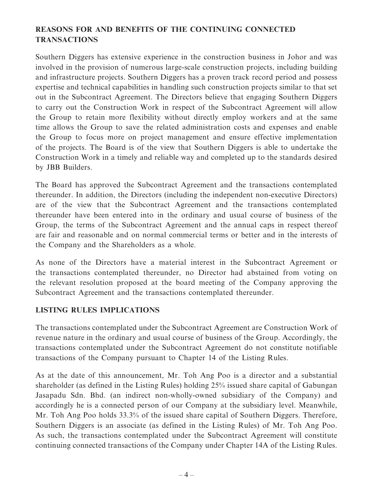## **REASONS FOR AND BENEFITS OF THE CONTINUING CONNECTED TRANSACTIONS**

Southern Diggers has extensive experience in the construction business in Johor and was involved in the provision of numerous large-scale construction projects, including building and infrastructure projects. Southern Diggers has a proven track record period and possess expertise and technical capabilities in handling such construction projects similar to that set out in the Subcontract Agreement. The Directors believe that engaging Southern Diggers to carry out the Construction Work in respect of the Subcontract Agreement will allow the Group to retain more flexibility without directly employ workers and at the same time allows the Group to save the related administration costs and expenses and enable the Group to focus more on project management and ensure effective implementation of the projects. The Board is of the view that Southern Diggers is able to undertake the Construction Work in a timely and reliable way and completed up to the standards desired by JBB Builders.

The Board has approved the Subcontract Agreement and the transactions contemplated thereunder. In addition, the Directors (including the independent non-executive Directors) are of the view that the Subcontract Agreement and the transactions contemplated thereunder have been entered into in the ordinary and usual course of business of the Group, the terms of the Subcontract Agreement and the annual caps in respect thereof are fair and reasonable and on normal commercial terms or better and in the interests of the Company and the Shareholders as a whole.

As none of the Directors have a material interest in the Subcontract Agreement or the transactions contemplated thereunder, no Director had abstained from voting on the relevant resolution proposed at the board meeting of the Company approving the Subcontract Agreement and the transactions contemplated thereunder.

#### **LISTING RULES IMPLICATIONS**

The transactions contemplated under the Subcontract Agreement are Construction Work of revenue nature in the ordinary and usual course of business of the Group. Accordingly, the transactions contemplated under the Subcontract Agreement do not constitute notifiable transactions of the Company pursuant to Chapter 14 of the Listing Rules.

As at the date of this announcement, Mr. Toh Ang Poo is a director and a substantial shareholder (as defined in the Listing Rules) holding 25% issued share capital of Gabungan Jasapadu Sdn. Bhd. (an indirect non-wholly-owned subsidiary of the Company) and accordingly he is a connected person of our Company at the subsidiary level. Meanwhile, Mr. Toh Ang Poo holds 33.3% of the issued share capital of Southern Diggers. Therefore, Southern Diggers is an associate (as defined in the Listing Rules) of Mr. Toh Ang Poo. As such, the transactions contemplated under the Subcontract Agreement will constitute continuing connected transactions of the Company under Chapter 14A of the Listing Rules.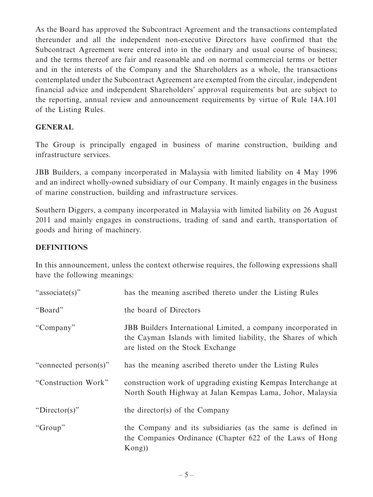As the Board has approved the Subcontract Agreement and the transactions contemplated thereunder and all the independent non-executive Directors have confirmed that the Subcontract Agreement were entered into in the ordinary and usual course of business; and the terms thereof are fair and reasonable and on normal commercial terms or better and in the interests of the Company and the Shareholders as a whole, the transactions contemplated under the Subcontract Agreement are exempted from the circular, independent financial advice and independent Shareholders' approval requirements but are subject to the reporting, annual review and announcement requirements by virtue of Rule 14A.101 of the Listing Rules.

#### **GENERAL**

The Group is principally engaged in business of marine construction, building and infrastructure services.

JBB Builders, a company incorporated in Malaysia with limited liability on 4 May 1996 and an indirect wholly-owned subsidiary of our Company. It mainly engages in the business of marine construction, building and infrastructure services.

Southern Diggers, a company incorporated in Malaysia with limited liability on 26 August 2011 and mainly engages in constructions, trading of sand and earth, transportation of goods and hiring of machinery.

#### **DEFINITIONS**

In this announcement, unless the context otherwise requires, the following expressions shall have the following meanings:

| "associate(s)"        | has the meaning ascribed thereto under the Listing Rules                                                                                                            |
|-----------------------|---------------------------------------------------------------------------------------------------------------------------------------------------------------------|
| "Board"               | the board of Directors                                                                                                                                              |
| "Company"             | JBB Builders International Limited, a company incorporated in<br>the Cayman Islands with limited liability, the Shares of which<br>are listed on the Stock Exchange |
| "connected person(s)" | has the meaning ascribed thereto under the Listing Rules                                                                                                            |
| "Construction Work"   | construction work of upgrading existing Kempas Interchange at<br>North South Highway at Jalan Kempas Lama, Johor, Malaysia                                          |
| "Director(s)"         | the director(s) of the Company                                                                                                                                      |
| "Group"               | the Company and its subsidiaries (as the same is defined in<br>the Companies Ordinance (Chapter 622 of the Laws of Hong<br>Kong)                                    |